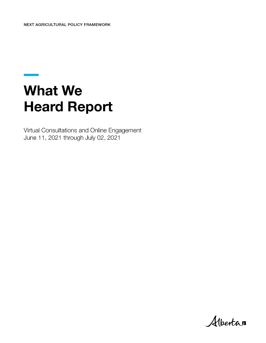# **What We Heard Report**

Virtual Consultations and Online Engagement June 11, 2021 through July 02, 2021

Albertan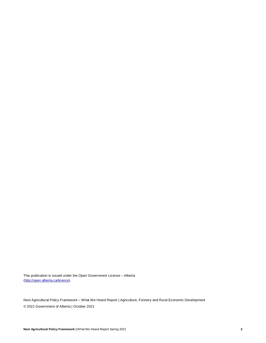This publication is issued under the Open Government License – Alberta [\(http://open.alberta.ca/licence\)](http://open.alberta.ca/licence).

Next Agricultural Policy Framework – What We Heard Report | Agriculture, Forestry and Rural Economic Development © 2021 Government of Alberta | October 2021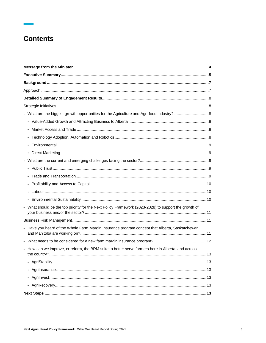## **Contents**

| • What should be the top priority for the Next Policy Framework (2023-2028) to support the growth of |  |
|------------------------------------------------------------------------------------------------------|--|
|                                                                                                      |  |
| • Have you heard of the Whole Farm Margin Insurance program concept that Alberta, Saskatchewan       |  |
|                                                                                                      |  |
| • How can we improve, or reform, the BRM suite to better serve farmers here in Alberta, and across   |  |
|                                                                                                      |  |
|                                                                                                      |  |
|                                                                                                      |  |
|                                                                                                      |  |
|                                                                                                      |  |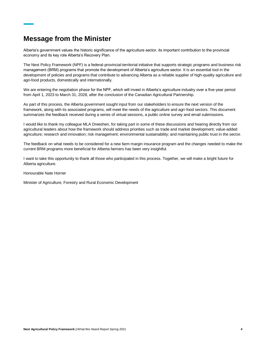## <span id="page-3-0"></span>**Message from the Minister**

Alberta's government values the historic significance of the agriculture sector, its important contribution to the provincial economy and its key role Alberta's Recovery Plan.

The Next Policy Framework (NPF) is a federal-provincial-territorial initiative that supports strategic programs and business risk management (BRM) programs that promote the development of Alberta's agriculture sector. It is an essential tool in the development of policies and programs that contribute to advancing Alberta as a reliable supplier of high-quality agriculture and agri-food products, domestically and internationally.

We are entering the negotiation phase for the NPF, which will invest in Alberta's agriculture industry over a five-year period from April 1, 2023 to March 31, 2028, after the conclusion of the Canadian Agricultural Partnership.

As part of this process, the Alberta government sought input from our stakeholders to ensure the next version of the framework, along with its associated programs, will meet the needs of the agriculture and agri-food sectors. This document summarizes the feedback received during a series of virtual sessions, a public online survey and email submissions.

I would like to thank my colleague MLA Dreeshen, for taking part in some of these discussions and hearing directly from our agricultural leaders about how the framework should address priorities such as trade and market development; value-added agriculture; research and innovation; risk management; environmental sustainability; and maintaining public trust in the sector.

The feedback on what needs to be considered for a new farm margin insurance program and the changes needed to make the current BRM programs more beneficial for Alberta farmers has been very insightful.

I want to take this opportunity to thank all those who participated in this process. Together, we will make a bright future for Alberta agriculture.

Honourable Nate Horner

Minister of Agriculture, Forestry and Rural Economic Development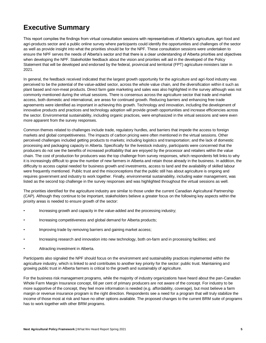## <span id="page-4-0"></span>**Executive Summary**

This report compiles the findings from virtual consultation sessions with representatives of Alberta's agriculture, agri-food and agri-products sector and a public online survey where participants could identify the opportunities and challenges of the sector as well as provide insight into what the priorities should be for the NPF. These consultation sessions were undertaken to ensure the NPF serves the needs of Alberta's sector and that there is a clear understanding of Alberta priorities and objectives when developing the NPF. Stakeholder feedback about the vision and priorities will aid in the developed of the Policy Statement that will be developed and endorsed by the federal, provincial and territorial (FPT) agriculture ministers later in 2021.

In general, the feedback received indicated that the largest growth opportunity for the agriculture and agri-food industry was perceived to be the potential of the value-added sector, across the whole value chain, and the diversification within it such as plant based and non-meat products. Direct farm gate marketing and sales was also highlighted in the survey although was not commonly mentioned during the virtual sessions. There is consensus across the agriculture sector that trade and market access, both domestic and international, are areas for continued growth. Reducing barriers and enhancing free trade agreements were identified as important in achieving this growth. Technology and innovation, including the development of innovative products and practices and technology adoption will provide growth opportunities and increase efficiencies across the sector. Environmental sustainability, including organic practices, were emphasized in the virtual sessions and were even more apparent from the survey responses.

Common themes related to challenges include trade, regulatory hurdles, and barriers that impede the access to foreign markets and global competitiveness. The impacts of carbon pricing were often mentioned in the virtual sessions. Other perceived challenges included getting products to markets; including logistics and transportation; and the lack of domestic processing and packaging capacity in Alberta. Specifically for the livestock industry, participants were concerned that the producers do not see the benefits of increased profitability that are enjoyed by the processor and retailers within the value chain. The cost of production for producers was the top challenge from survey responses, which respondents felt links to why it is increasingly difficult to grow the number of new farmers in Alberta and retain those already in the business. In addition, the difficulty to access capital needed for business growth and investments, access to land and the availability of skilled labour were frequently mentioned. Public trust and the misconceptions that the public still has about agriculture is ongoing and requires government and industry to work together. Finally, environmental sustainability, including water management, was listed as the second top challenge in the survey responses and was highlighted throughout the virtual sessions as well.

The priorities identified for the agriculture industry are similar to those under the current Canadian Agricultural Partnership (CAP). Although they continue to be important, stakeholders believe a greater focus on the following key aspects within the priority areas is needed to ensure growth of the sector:

- Increasing growth and capacity in the value-added and the processing industry;
- Increasing competitiveness and global demand for Alberta products;
- Improving trade by removing barriers and gaining market access;
- Increasing research and innovation into new technology, both on-farm and in processing facilities; and
- Attracting investment in Alberta.

Participants also signaled the NPF should focus on the environment and sustainability practices implemented within the agriculture industry, which is linked to and contributes to another key priority for the sector: public trust. Maintaining and growing public trust in Alberta farmers is critical to the growth and sustainably of agriculture.

For the business risk management programs, while the majority of industry organizations have heard about the pan-Canadian Whole Farm Margin Insurance concept, 68 per cent of primary producers are not aware of the concept. For industry to be more supportive of the concept, they feel more information is needed (e.g. affordability, coverage), but most believe a farm margin or revenue insurance program is the right direction. Respondents see a need for a program that will truly stabilize the income of those most at risk and have no other options available. The proposed changes to the current BRM suite of programs has to work together with other BRM programs.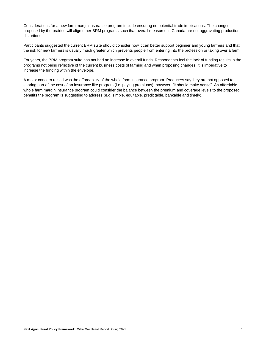Considerations for a new farm margin insurance program include ensuring no potential trade implications. The changes proposed by the prairies will align other BRM programs such that overall measures in Canada are not aggravating production distortions.

Participants suggested the current BRM suite should consider how it can better support beginner and young farmers and that the risk for new farmers is usually much greater which prevents people from entering into the profession or taking over a farm.

For years, the BRM program suite has not had an increase in overall funds. Respondents feel the lack of funding results in the programs not being reflective of the current business costs of farming and when proposing changes, it is imperative to increase the funding within the envelope.

A major concern raised was the affordability of the whole farm insurance program. Producers say they are not opposed to sharing part of the cost of an insurance like program (i.e. paying premiums); however, "it should make sense". An affordable whole farm margin insurance program could consider the balance between the premium and coverage levels to the proposed benefits the program is suggesting to address (e.g. simple, equitable, predictable, bankable and timely).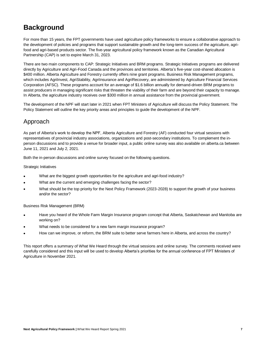## <span id="page-6-0"></span>**Background**

For more than 15 years, the FPT governments have used agriculture policy frameworks to ensure a collaborative approach to the development of policies and programs that support sustainable growth and the long-term success of the agriculture, agrifood and agri-based products sector. The five-year agricultural policy framework known as the Canadian Agricultural Partnership (CAP) is set to expire March 31, 2023.

There are two main components to CAP: Strategic Initiatives and BRM programs. Strategic Initiatives programs are delivered directly by Agriculture and Agri-Food Canada and the provinces and territories. Alberta's five-year cost-shared allocation is \$400 million. Alberta Agriculture and Forestry currently offers nine grant programs. Business Risk Management programs, which includes AgriInvest, AgriStability, AgriInsurance and AgriRecovery, are administered by Agriculture Financial Services Corporation (AFSC). These programs account for an average of \$1.6 billion annually for demand-driven BRM programs to assist producers in managing significant risks that threaten the viability of their farm and are beyond their capacity to manage. In Alberta, the agriculture industry receives over \$300 million in annual assistance from the provincial government.

The development of the NPF will start later in 2021 when FPT Ministers of Agriculture will discuss the Policy Statement. The Policy Statement will outline the key priority areas and principles to guide the development of the NPF.

## <span id="page-6-1"></span>Approach

As part of Alberta's work to develop the NPF, Alberta Agriculture and Forestry (AF) conducted four virtual sessions with representatives of provincial industry associations, organizations and post-secondary institutions. To complement the inperson discussions and to provide a venue for broader input, a public online survey was also available on alberta.ca between June 11, 2021 and July 2, 2021.

Both the in-person discussions and online survey focused on the following questions.

Strategic Initiatives

- What are the biggest growth opportunities for the agriculture and agri-food industry?
- What are the current and emerging challenges facing the sector?
- What should be the top priority for the Next Policy Framework (2023-2028) to support the growth of your business and/or the sector?

Business Risk Management (BRM)

- Have you heard of the Whole Farm Margin Insurance program concept that Alberta, Saskatchewan and Manitoba are working on?
- What needs to be considered for a new farm margin insurance program?
- How can we improve, or reform, the BRM suite to better serve farmers here in Alberta, and across the country?

This report offers a summary of What We Heard through the virtual sessions and online survey. The comments received were carefully considered and this input will be used to develop Alberta's priorities for the annual conference of FPT Ministers of Agriculture in November 2021.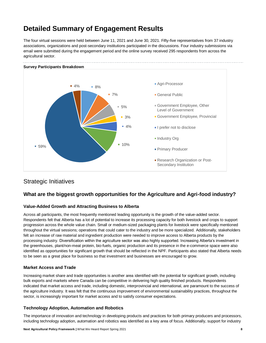## <span id="page-7-0"></span>**Detailed Summary of Engagement Results**

The four virtual sessions were held between June 11, 2021 and June 30, 2021. Fifty-five representatives from 37 industry associations, organizations and post-secondary institutions participated in the discussions. Four industry submissions via email were submitted during the engagement period and the online survey received 295 respondents from across the agricultural sector.



## <span id="page-7-1"></span>Strategic Initiatives

### <span id="page-7-2"></span>**What are the biggest growth opportunities for the Agriculture and Agri-food industry?**

#### <span id="page-7-3"></span>**Value-Added Growth and Attracting Business to Alberta**

Across all participants, the most frequently mentioned leading opportunity is the growth of the value-added sector. Respondents felt that Alberta has a lot of potential to increase its processing capacity for both livestock and crops to support progression across the whole value chain. Small or medium-sized packaging plants for livestock were specifically mentioned throughout the virtual sessions; operations that could cater to the industry and be more specialized. Additionally, stakeholders felt an increase of raw material and ingredient production were needed to improve access to Alberta products by the processing industry. Diversification within the agriculture sector was also highly supported. Increasing Alberta's investment in the greenhouses, plant/non-meat protein, bio-fuels, organic production and its presence in the e-commerce space were also identified as opportunities for significant growth that should be reflected in the NPF. Participants also stated that Alberta needs to be seen as a great place for business so that investment and businesses are encouraged to grow.

#### <span id="page-7-4"></span>**Market Access and Trade**

Increasing market share and trade opportunities is another area identified with the potential for significant growth, including bulk exports and markets where Canada can be competitive in delivering high quality finished products. Respondents indicated that market access and trade, including domestic, interprovincial and international, are paramount to the success of the agriculture industry. It was felt that the continuous improvement of environmental sustainability practices, throughout the sector, is increasingly important for market access and to satisfy consumer expectations.

#### <span id="page-7-5"></span>**Technology Adoption, Automation and Robotics**

The importance of innovation and technology in developing products and practices for both primary producers and processors, including technology adoption, automation and robotics was identified as a key area of focus. Additionally, support for industry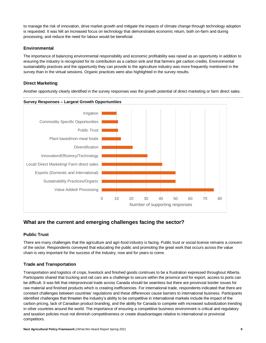to manage the risk of innovation, drive market growth and mitigate the impacts of climate change through technology adoption is requested. It was felt an increased focus on technology that demonstrates economic return, both on-farm and during processing, and reduce the need for labour would be beneficial.

#### <span id="page-8-0"></span>**Environmental**

The importance of balancing environmental responsibility and economic profitability was raised as an opportunity in addition to ensuring the industry is recognized for its contribution as a carbon sink and that farmers get carbon credits. Environmental sustainability practices and the opportunity they can provide to the agriculture industry was more frequently mentioned in the survey than in the virtual sessions. Organic practices were also highlighted in the survey results.

#### <span id="page-8-1"></span>**Direct Marketing**

Another opportunity clearly identified in the survey responses was the growth potential of direct marketing or farm direct sales.



### <span id="page-8-2"></span>**What are the current and emerging challenges facing the sector?**

#### <span id="page-8-3"></span>**Public Trust**

There are many challenges that the agriculture and agri-food industry is facing. Public trust or social license remains a concern of the sector. Respondents conveyed that educating the public and promoting the great work that occurs across the value chain is very important for the success of the industry, now and for years to come.

#### <span id="page-8-4"></span>**Trade and Transportation**

Transportation and logistics of crops, livestock and finished goods continues to be a frustration expressed throughout Alberta. Participants shared that trucking and rail cars are a challenge to secure within the province and for export, access to ports can be difficult. It was felt that interprovincial trade across Canada should be seamless but there are provincial border issues for raw material and finished products which is creating inefficiencies. For international trade, respondents indicated that there are constant challenges between countries' regulations and these differences cause barriers to international business. Participants identified challenges that threaten the industry's ability to be competitive in international markets include the impact of the carbon pricing, lack of Canadian product branding, and the ability for Canada to compete with increased subsidization trending in other countries around the world. The importance of ensuring a competitive business environment is critical and regulatory and taxation policies must not diminish competitiveness or create disadvantages relative to international or provincial competitors.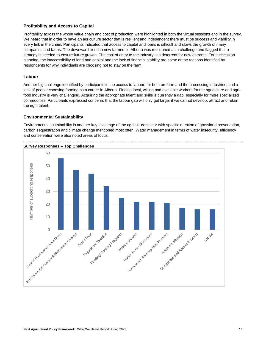#### <span id="page-9-0"></span>**Profitability and Access to Capital**

Profitability across the whole value chain and cost of production were highlighted in both the virtual sessions and in the survey. We heard that in order to have an agriculture sector that is resilient and independent there must be success and viability in every link in the chain. Participants indicated that access to capital and loans is difficult and slows the growth of many companies and farms. The downward trend in new farmers in Alberta was mentioned as a challenge and flagged that a strategy is needed to ensure future growth. The cost of entry to the industry is a deterrent for new entrants. For succession planning, the inaccessibility of land and capital and the lack of financial stability are some of the reasons identified by respondents for why individuals are choosing not to stay on the farm.

#### <span id="page-9-1"></span>**Labour**

Another big challenge identified by participants is the access to labour, for both on-farm and the processing industries, and a lack of people choosing farming as a career in Alberta. Finding local, willing and available workers for the agriculture and agrifood industry is very challenging. Acquiring the appropriate talent and skills is currently a gap, especially for more specialized commodities. Participants expressed concerns that the labour gap will only get larger if we cannot develop, attract and retain the right talent.

#### <span id="page-9-2"></span>**Environmental Sustainability**

Environmental sustainability is another key challenge of the agriculture sector with specific mention of grassland preservation, carbon sequestration and climate change mentioned most often. Water management in terms of water insecurity, efficiency and conservation were also noted areas of focus.

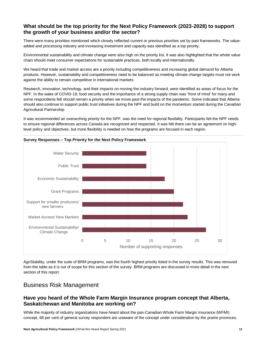#### <span id="page-10-0"></span>**What should be the top priority for the Next Policy Framework (2023-2028) to support the growth of your business and/or the sector?**

There were many priorities mentioned which closely reflected current or previous priorities set by past frameworks. The valueadded and processing industry and increasing investment and capacity was identified as a top priority.

Environmental sustainability and climate change were also high on the priority list. It was also highlighted that the whole value chain should meet consumer expectations for sustainable practices, both locally and internationally.

We heard that trade and market access are a priority including competitiveness and increasing global demand for Alberta products. However, sustainability and competitiveness need to be balanced as meeting climate change targets must not work against the ability to remain competitive in international markets.

Research, innovation, technology, and their impacts on moving the industry forward, were identified as areas of focus for the NPF. In the wake of COVID-19, food security and the importance of a strong supply chain was 'front of mind' for many and some respondents felt should remain a priority when we move past the impacts of the pandemic. Some indicated that Alberta should also continue to support public trust initiatives during the NPF and build on the momentum started during the Canadian Agricultural Partnership.

It was recommended an overarching priority for the NPF, was the need for regional flexibility. Participants felt the NPF needs to ensure regional differences across Canada are recognized and respected. It was felt there can be an agreement on highlevel policy and objectives, but more flexibility is needed on how the programs are focused in each region.



#### **Survey Responses – Top Priority for the Next Policy Framework**

AgriStability, under the suite of BRM programs, was the fourth highest priority listed in the survey results. This was removed from the table as it is out of scope for this section of the survey. BRM programs are discussed in more detail in the next section of this report.

### <span id="page-10-1"></span>Business Risk Management

#### <span id="page-10-2"></span>**Have you heard of the Whole Farm Margin Insurance program concept that Alberta, Saskatchewan and Manitoba are working on?**

While the majority of industry organizations have heard about the pan-Canadian Whole Farm Margin Insurance (WFMI) concept, 68 per cent of general survey respondent are unaware of the concept under consideration by the prairie provinces.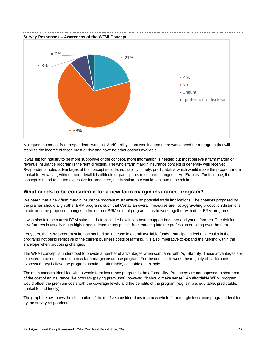

A frequent comment from respondents was that AgriStability is not working and there was a need for a program that will stabilize the income of those most at risk and have no other options available.

It was felt for industry to be more supportive of the concept, more information is needed but most believe a farm margin or revenue insurance program is the right direction. The whole farm margin insurance concept is generally well received. Respondents noted advantages of the concept include: equitability, timely, predictability, which would make the program more bankable. However, without more detail it is difficult for participants to support changes to AgriStability. For instance, if the concept is found to be too expensive for producers, participation rate would continue to be minimal.

#### <span id="page-11-0"></span>**What needs to be considered for a new farm margin insurance program?**

We heard that a new farm margin insurance program must ensure no potential trade implications. The changes proposed by the prairies should align other BRM programs such that Canadian overall measures are not aggravating production distortions. In addition, the proposed changes to the current BRM suite of programs has to work together with other BRM programs.

It was also felt the current BRM suite needs to consider how it can better support beginner and young farmers. The risk for new farmers is usually much higher and it deters many people from entering into the profession or taking over the farm.

For years, the BRM program suite has not had an increase in overall available funds. Participants feel this results in the programs not being reflective of the current business costs of farming. It is also imperative to expand the funding within the envelope when proposing changes.

The WFMI concept is understood to provide a number of advantages when compared with AgriStability. These advantages are expected to be confirmed in a new farm margin insurance program. For the concept to work, the majority of participants expressed they believe the program should be affordable, equitable and simple.

The main concern identified with a whole farm insurance program is the affordability. Producers are not opposed to share part of the cost of an insurance like program (paying premiums); however, "it should make sense". An affordable WFMI program would offset the premium costs with the coverage levels and the benefits of the program (e.g. simple, equitable, predictable, bankable and timely).

The graph below shows the distribution of the top five considerations to a new whole farm margin insurance program identified by the survey respondents.